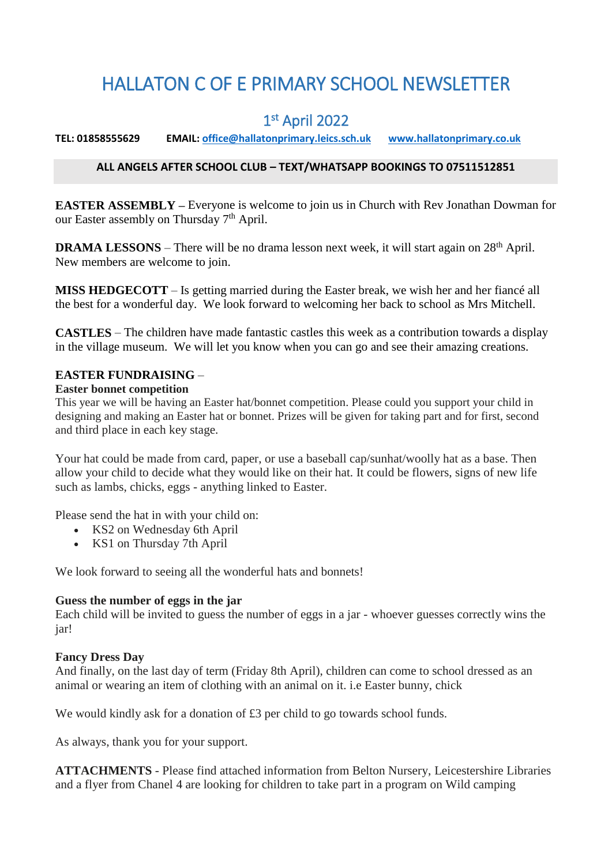# HALLATON C OF E PRIMARY SCHOOL NEWSLETTER

## 1 st April 2022

**TEL: 01858555629 EMAIL[: office@hallatonprimary.leics.sch.uk](mailto:office@hallatonprimary.leics.sch.uk) [www.hallatonprimary.co.uk](http://www.hallatonprimary.co.uk/)**

#### **ALL ANGELS AFTER SCHOOL CLUB – TEXT/WHATSAPP BOOKINGS TO 07511512851**

**EASTER ASSEMBLY –** Everyone is welcome to join us in Church with Rev Jonathan Dowman for our Easter assembly on Thursday 7<sup>th</sup> April.

**DRAMA LESSONS** – There will be no drama lesson next week, it will start again on 28<sup>th</sup> April. New members are welcome to join.

**MISS HEDGECOTT** – Is getting married during the Easter break, we wish her and her fiancé all the best for a wonderful day. We look forward to welcoming her back to school as Mrs Mitchell.

**CASTLES** – The children have made fantastic castles this week as a contribution towards a display in the village museum. We will let you know when you can go and see their amazing creations.

#### **EASTER FUNDRAISING** –

#### **Easter bonnet competition**

This year we will be having an Easter hat/bonnet competition. Please could you support your child in designing and making an Easter hat or bonnet. Prizes will be given for taking part and for first, second and third place in each key stage.

Your hat could be made from card, paper, or use a baseball cap/sunhat/woolly hat as a base. Then allow your child to decide what they would like on their hat. It could be flowers, signs of new life such as lambs, chicks, eggs - anything linked to Easter.

Please send the hat in with your child on:

- KS2 on Wednesday 6th April
- KS1 on Thursday 7th April

We look forward to seeing all the wonderful hats and bonnets!

#### **Guess the number of eggs in the jar**

Each child will be invited to guess the number of eggs in a jar - whoever guesses correctly wins the jar!

#### **Fancy Dress Day**

And finally, on the last day of term (Friday 8th April), children can come to school dressed as an animal or wearing an item of clothing with an animal on it. i.e Easter bunny, chick

We would kindly ask for a donation of £3 per child to go towards school funds.

As always, thank you for your support.

**ATTACHMENTS** - Please find attached information from Belton Nursery, Leicestershire Libraries and a flyer from Chanel 4 are looking for children to take part in a program on Wild camping